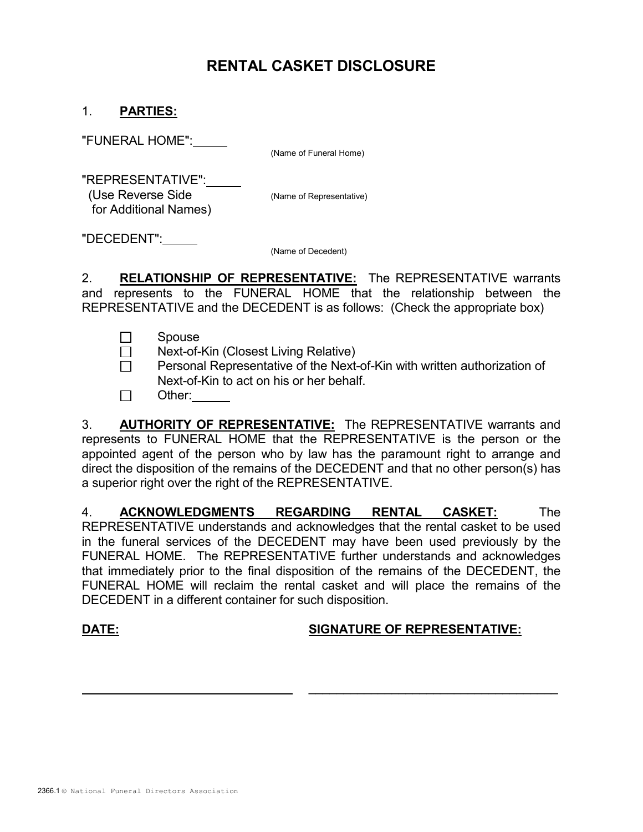# RENTAL CASKET DISCLOSURE

## 1. PARTIES:

"FUNERAL HOME":

(Name of Funeral Home)

 "REPRESENTATIVE": (Use Reverse Side (Name of Representative) for Additional Names)

"DECEDENT":

(Name of Decedent)

2. RELATIONSHIP OF REPRESENTATIVE: The REPRESENTATIVE warrants and represents to the FUNERAL HOME that the relationship between the REPRESENTATIVE and the DECEDENT is as follows: (Check the appropriate box)

- □ Spouse
- □ Next-of-Kin (Closest Living Relative)
- $\Box$  Personal Representative of the Next-of-Kin with written authorization of Next-of-Kin to act on his or her behalf.
- □ Other:

 3. AUTHORITY OF REPRESENTATIVE: The REPRESENTATIVE warrants and represents to FUNERAL HOME that the REPRESENTATIVE is the person or the appointed agent of the person who by law has the paramount right to arrange and direct the disposition of the remains of the DECEDENT and that no other person(s) has a superior right over the right of the REPRESENTATIVE.

 4. ACKNOWLEDGMENTS REGARDING RENTAL CASKET: The REPRESENTATIVE understands and acknowledges that the rental casket to be used in the funeral services of the DECEDENT may have been used previously by the FUNERAL HOME. The REPRESENTATIVE further understands and acknowledges that immediately prior to the final disposition of the remains of the DECEDENT, the FUNERAL HOME will reclaim the rental casket and will place the remains of the DECEDENT in a different container for such disposition.

 $\overline{\phantom{a}}$  ,  $\overline{\phantom{a}}$  ,  $\overline{\phantom{a}}$  ,  $\overline{\phantom{a}}$  ,  $\overline{\phantom{a}}$  ,  $\overline{\phantom{a}}$  ,  $\overline{\phantom{a}}$  ,  $\overline{\phantom{a}}$  ,  $\overline{\phantom{a}}$  ,  $\overline{\phantom{a}}$  ,  $\overline{\phantom{a}}$  ,  $\overline{\phantom{a}}$  ,  $\overline{\phantom{a}}$  ,  $\overline{\phantom{a}}$  ,  $\overline{\phantom{a}}$  ,  $\overline{\phantom{a}}$ 

# DATE: SIGNATURE OF REPRESENTATIVE: